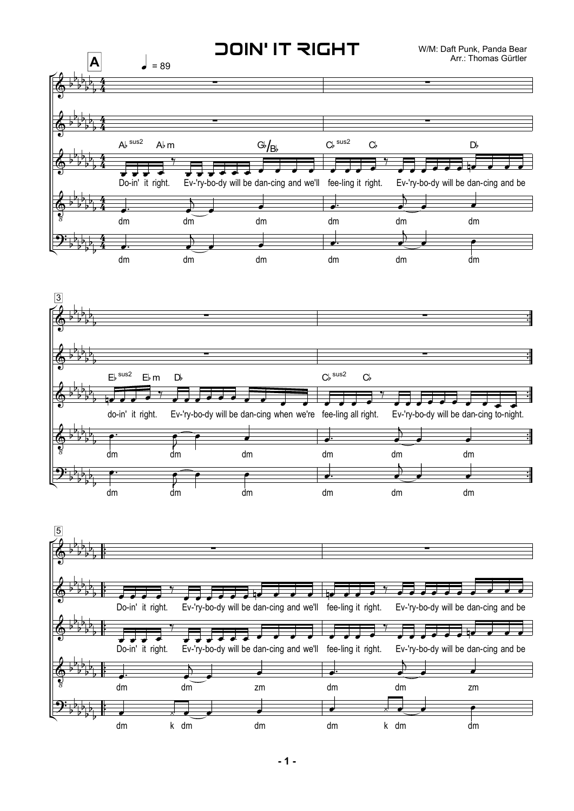